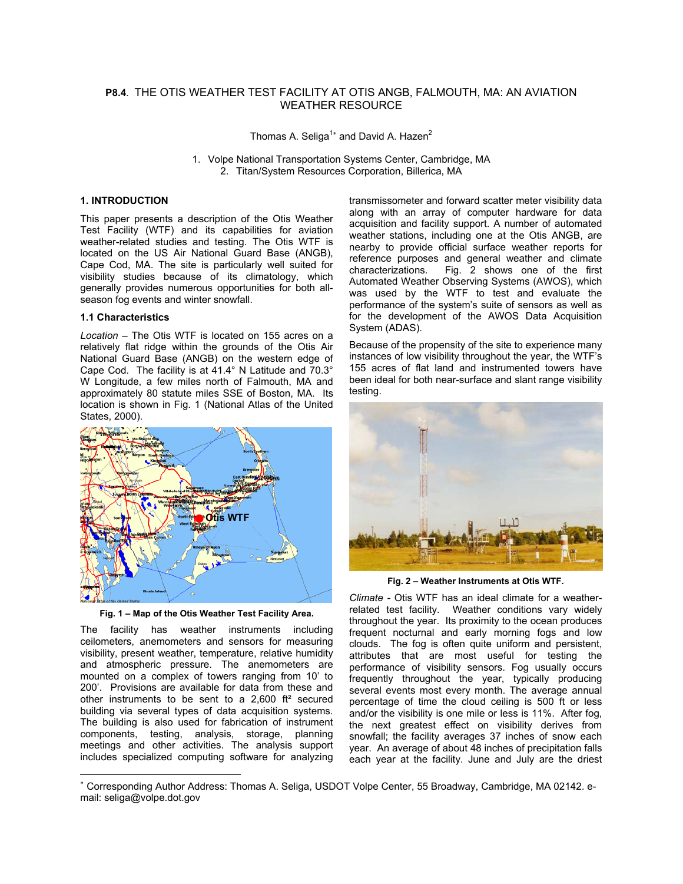# **P8.4**. THE OTIS WEATHER TEST FACILITY AT OTIS ANGB, FALMOUTH, MA: AN AVIATION WEATHER RESOURCE

ThomasA. Seliga<sup>1</sup>\* and David A. Hazen<sup>2</sup>

1. Volpe National Transportation Systems Center, Cambridge, MA 2. Titan/System Resources Corporation, Billerica, MA

### **1. INTRODUCTION**

This paper presents a description of the Otis Weather Test Facility (WTF) and its capabilities for aviation weather-related studies and testing. The Otis WTF is located on the US Air National Guard Base (ANGB), Cape Cod, MA. The site is particularly well suited for visibility studies because of its climatology, which generally provides numerous opportunities for both allseason fog events and winter snowfall.

### **1.1 Characteristics**

 $\overline{\phantom{a}}$ 

*Location –* The Otis WTF is located on 155 acres on a relatively flat ridge within the grounds of the Otis Air National Guard Base (ANGB) on the western edge of Cape Cod. The facility is at 41.4° N Latitude and 70.3° W Longitude, a few miles north of Falmouth, MA and approximately 80 statute miles SSE of Boston, MA. Its location is shown in Fig. 1 (National Atlas of the United States, 2000).



**Fig. 1 – Map of the Otis Weather Test Facility Area.** 

The facility has weather instruments including ceilometers, anemometers and sensors for measuring visibility, present weather, temperature, relative humidity and atmospheric pressure. The anemometers are mounted on a complex of towers ranging from 10' to 200'. Provisions are available for data from these and other instruments to be sent to a 2,600 ft² secured building via several types of data acquisition systems. The building is also used for fabrication of instrument components, testing, analysis, storage, planning meetings and other activities. The analysis support includes specialized computing software for analyzing transmissometer and forward scatter meter visibility data along with an array of computer hardware for data acquisition and facility support. A number of automated weather stations, including one at the Otis ANGB, are nearby to provide official surface weather reports for reference purposes and general weather and climate characterizations. Fig. 2 shows one of the first Automated Weather Observing Systems (AWOS), which was used by the WTF to test and evaluate the performance of the system's suite of sensors as well as for the development of the AWOS Data Acquisition System (ADAS).

Because of the propensity of the site to experience many instances of low visibility throughout the year, the WTF's 155 acres of flat land and instrumented towers have been ideal for both near-surface and slant range visibility testing.



**Fig. 2 – Weather Instruments at Otis WTF.** 

*Climate -* Otis WTF has an ideal climate for a weatherrelated test facility. Weather conditions vary widely throughout the year. Its proximity to the ocean produces frequent nocturnal and early morning fogs and low clouds. The fog is often quite uniform and persistent, attributes that are most useful for testing the performance of visibility sensors. Fog usually occurs frequently throughout the year, typically producing several events most every month. The average annual percentage of time the cloud ceiling is 500 ft or less and/or the visibility is one mile or less is 11%. After fog, the next greatest effect on visibility derives from snowfall; the facility averages 37 inches of snow each year. An average of about 48 inches of precipitation falls each year at the facility. June and July are the driest

<span id="page-0-0"></span><sup>∗</sup> Corresponding Author Address: Thomas A. Seliga, USDOT Volpe Center, 55 Broadway, Cambridge, MA 02142. email: seliga@volpe.dot.gov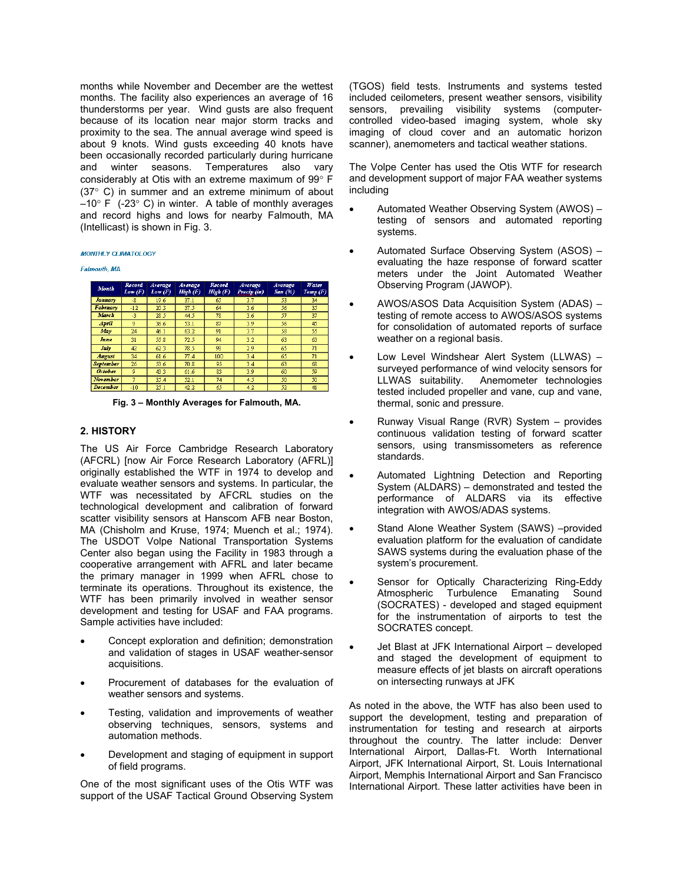months while November and December are the wettest months. The facility also experiences an average of 16 thunderstorms per year. Wind gusts are also frequent because of its location near major storm tracks and proximity to the sea. The annual average wind speed is about 9 knots. Wind gusts exceeding 40 knots have been occasionally recorded particularly during hurricane and winter seasons. Temperatures also vary considerably at Otis with an extreme maximum of 99° F (37° C) in summer and an extreme minimum of about  $-10^{\circ}$  F (-23° C) in winter. A table of monthly averages and record highs and lows for nearby Falmouth, MA (Intellicast) is shown in Fig. 3.

#### **MONTHLY CLIMATOLOGY**

#### Falmouth MA

| Month            | Record<br>Low(F) | Average<br>Low(F) | Average<br>High(F) | Record<br>High (F) | Average<br>Precip (in) | Average<br>Sun(%) | Water<br>Temp(F) |
|------------------|------------------|-------------------|--------------------|--------------------|------------------------|-------------------|------------------|
| January          | $-8$             | 19.6              | 37.1               | 65                 | 3.7                    | 53.               | 34               |
| February         | $-12$            | 20.3              | 37.5               | 64                 | 3.6                    | 56                | 35               |
| March            | $-3$             | 28.5              | 44.5               | 78                 | 3.6                    | 57                | 37               |
| April            | 9                | 36.6              | 53.1               | 87                 | 3.9                    | 56                | 45               |
| May              | 24               | 46.1              | 63.2               | 91                 | 3.7                    | 58                | 55               |
| June             | 31               | 55.8              | 72.5               | 94                 | 3.2                    | 63                | 63               |
| $J\nu I\nu$      | 42               | 62.3              | 78.5               | 98                 | 2.9                    | 65                | 71               |
| August           | 34               | 61.6              | 77.4               | 100                | 3.4                    | 65                | 71               |
| <b>September</b> | 26               | 53.6              | 70.8               | 95                 | 3.4                    | 63                | 68               |
| <b>October</b>   | 9                | 43.3              | 616                | 83                 | 3.9                    | 60                | 59               |
| November         | 7                | 35.4              | 52.1               | 74                 | 4.5                    | 50                | 50 <sub>1</sub>  |
| <b>December</b>  | $-10$            | 25.1              | 42.2               | 65                 | 4.2                    | 52                | 41               |

**Fig. 3 – Monthly Averages for Falmouth, MA.**

## **2. HISTORY**

The US Air Force Cambridge Research Laboratory (AFCRL) [now Air Force Research Laboratory (AFRL)] originally established the WTF in 1974 to develop and evaluate weather sensors and systems. In particular, the WTF was necessitated by AFCRL studies on the technological development and calibration of forward scatter visibility sensors at Hanscom AFB near Boston, MA (Chisholm and Kruse, 1974; Muench et al.; 1974). The USDOT Volpe National Transportation Systems Center also began using the Facility in 1983 through a cooperative arrangement with AFRL and later became the primary manager in 1999 when AFRL chose to terminate its operations. Throughout its existence, the WTF has been primarily involved in weather sensor development and testing for USAF and FAA programs. Sample activities have included:

- Concept exploration and definition; demonstration and validation of stages in USAF weather-sensor acquisitions.
- Procurement of databases for the evaluation of weather sensors and systems.
- Testing, validation and improvements of weather observing techniques, sensors, systems and automation methods.
- Development and staging of equipment in support of field programs.

One of the most significant uses of the Otis WTF was support of the USAF Tactical Ground Observing System (TGOS) field tests. Instruments and systems tested included ceilometers, present weather sensors, visibility sensors, prevailing visibility systems (computercontrolled video-based imaging system, whole sky imaging of cloud cover and an automatic horizon scanner), anemometers and tactical weather stations.

The Volpe Center has used the Otis WTF for research and development support of major FAA weather systems including

- Automated Weather Observing System (AWOS) testing of sensors and automated reporting systems.
- Automated Surface Observing System (ASOS) evaluating the haze response of forward scatter meters under the Joint Automated Weather Observing Program (JAWOP).
- AWOS/ASOS Data Acquisition System (ADAS) testing of remote access to AWOS/ASOS systems for consolidation of automated reports of surface weather on a regional basis.
- Low Level Windshear Alert System (LLWAS) surveyed performance of wind velocity sensors for LLWAS suitability. Anemometer technologies tested included propeller and vane, cup and vane, thermal, sonic and pressure.
- Runway Visual Range (RVR) System provides continuous validation testing of forward scatter sensors, using transmissometers as reference standards.
- Automated Lightning Detection and Reporting System (ALDARS) – demonstrated and tested the performance of ALDARS via its effective integration with AWOS/ADAS systems.
- Stand Alone Weather System (SAWS) -provided evaluation platform for the evaluation of candidate SAWS systems during the evaluation phase of the system's procurement.
- Sensor for Optically Characterizing Ring-Eddy Atmospheric Turbulence Emanating Sound (SOCRATES) - developed and staged equipment for the instrumentation of airports to test the SOCRATES concept.
- Jet Blast at JFK International Airport developed and staged the development of equipment to measure effects of jet blasts on aircraft operations on intersecting runways at JFK

As noted in the above, the WTF has also been used to support the development, testing and preparation of instrumentation for testing and research at airports throughout the country. The latter include: Denver International Airport, Dallas-Ft. Worth International Airport, JFK International Airport, St. Louis International Airport, Memphis International Airport and San Francisco International Airport. These latter activities have been in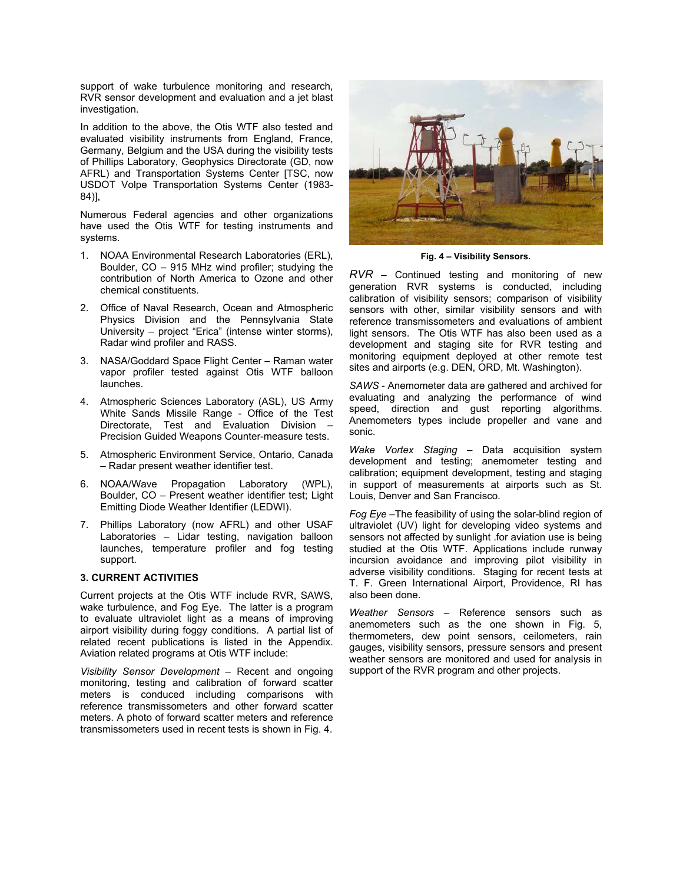support of wake turbulence monitoring and research, RVR sensor development and evaluation and a jet blast investigation.

In addition to the above, the Otis WTF also tested and evaluated visibility instruments from England, France, Germany, Belgium and the USA during the visibility tests of Phillips Laboratory, Geophysics Directorate (GD, now AFRL) and Transportation Systems Center [TSC, now USDOT Volpe Transportation Systems Center (1983- 84)],

Numerous Federal agencies and other organizations have used the Otis WTF for testing instruments and systems.

- 1. NOAA Environmental Research Laboratories (ERL), Boulder, CO – 915 MHz wind profiler; studying the contribution of North America to Ozone and other chemical constituents.
- 2. Office of Naval Research, Ocean and Atmospheric Physics Division and the Pennsylvania State University – project "Erica" (intense winter storms), Radar wind profiler and RASS.
- 3. NASA/Goddard Space Flight Center Raman water vapor profiler tested against Otis WTF balloon launches.
- 4. Atmospheric Sciences Laboratory (ASL), US Army White Sands Missile Range - Office of the Test Directorate, Test and Evaluation Division – Precision Guided Weapons Counter-measure tests.
- 5. Atmospheric Environment Service, Ontario, Canada – Radar present weather identifier test.
- 6. NOAA/Wave Propagation Laboratory (WPL), Boulder, CO – Present weather identifier test; Light Emitting Diode Weather Identifier (LEDWI).
- 7. Phillips Laboratory (now AFRL) and other USAF Laboratories – Lidar testing, navigation balloon launches, temperature profiler and fog testing support.

## **3. CURRENT ACTIVITIES**

Current projects at the Otis WTF include RVR, SAWS, wake turbulence, and Fog Eye. The latter is a program to evaluate ultraviolet light as a means of improving airport visibility during foggy conditions. A partial list of related recent publications is listed in the Appendix. Aviation related programs at Otis WTF include:

*Visibility Sensor Development* – Recent and ongoing monitoring, testing and calibration of forward scatter meters is conduced including comparisons with reference transmissometers and other forward scatter meters. A photo of forward scatter meters and reference transmissometers used in recent tests is shown in Fig. 4.



**Fig. 4 – Visibility Sensors.** 

*RVR* – Continued testing and monitoring of new generation RVR systems is conducted, including calibration of visibility sensors; comparison of visibility sensors with other, similar visibility sensors and with reference transmissometers and evaluations of ambient light sensors. The Otis WTF has also been used as a development and staging site for RVR testing and monitoring equipment deployed at other remote test sites and airports (e.g. DEN, ORD, Mt. Washington).

*SAWS* - Anemometer data are gathered and archived for evaluating and analyzing the performance of wind speed, direction and gust reporting algorithms. Anemometers types include propeller and vane and sonic.

*Wake Vortex Staging –* Data acquisition system development and testing; anemometer testing and calibration; equipment development, testing and staging in support of measurements at airports such as St. Louis, Denver and San Francisco.

*Fog Eye –*The feasibility of using the solar-blind region of ultraviolet (UV) light for developing video systems and sensors not affected by sunlight .for aviation use is being studied at the Otis WTF. Applications include runway incursion avoidance and improving pilot visibility in adverse visibility conditions. Staging for recent tests at T. F. Green International Airport, Providence, RI has also been done.

*Weather Sensors –* Reference sensors such as anemometers such as the one shown in Fig. 5, thermometers, dew point sensors, ceilometers, rain gauges, visibility sensors, pressure sensors and present weather sensors are monitored and used for analysis in support of the RVR program and other projects.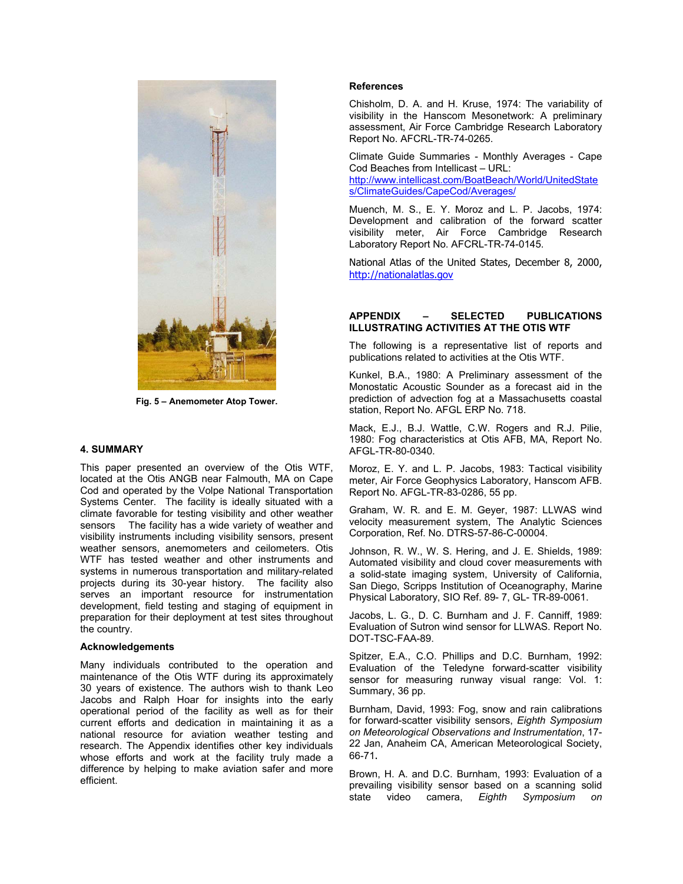

**Fig. 5 – Anemometer Atop Tower.** 

### **4. SUMMARY**

This paper presented an overview of the Otis WTF, located at the Otis ANGB near Falmouth, MA on Cape Cod and operated by the Volpe National Transportation Systems Center. The facility is ideally situated with a climate favorable for testing visibility and other weather sensors The facility has a wide variety of weather and visibility instruments including visibility sensors, present weather sensors, anemometers and ceilometers. Otis WTF has tested weather and other instruments and systems in numerous transportation and military-related projects during its 30-year history. The facility also serves an important resource for instrumentation development, field testing and staging of equipment in preparation for their deployment at test sites throughout the country.

#### **Acknowledgements**

Many individuals contributed to the operation and maintenance of the Otis WTF during its approximately 30 years of existence. The authors wish to thank Leo Jacobs and Ralph Hoar for insights into the early operational period of the facility as well as for their current efforts and dedication in maintaining it as a national resource for aviation weather testing and research. The Appendix identifies other key individuals whose efforts and work at the facility truly made a difference by helping to make aviation safer and more efficient.

### **References**

Chisholm, D. A. and H. Kruse, 1974: The variability of visibility in the Hanscom Mesonetwork: A preliminary assessment, Air Force Cambridge Research Laboratory Report No. AFCRL-TR-74-0265.

Climate Guide Summaries - Monthly Averages - Cape Cod Beaches from Intellicast – URL:

[http://www.intellicast.com/BoatBeach/World/UnitedState](http://www.intellicast.com/BoatBeach/World/UnitedStates/ClimateGuides/CapeCod/Averages/) [s/ClimateGuides/CapeCod/Averages/](http://www.intellicast.com/BoatBeach/World/UnitedStates/ClimateGuides/CapeCod/Averages/)

Muench, M. S., E. Y. Moroz and L. P. Jacobs, 1974: Development and calibration of the forward scatter visibility meter, Air Force Cambridge Research Laboratory Report No. AFCRL-TR-74-0145.

National Atlas of the United States, December 8, 2000, [http://nationalatlas.gov](http://nationalatlas.gov/) 

## **APPENDIX – SELECTED PUBLICATIONS ILLUSTRATING ACTIVITIES AT THE OTIS WTF**

The following is a representative list of reports and publications related to activities at the Otis WTF.

Kunkel, B.A., 1980: A Preliminary assessment of the Monostatic Acoustic Sounder as a forecast aid in the prediction of advection fog at a Massachusetts coastal station, Report No. AFGL ERP No. 718.

Mack, E.J., B.J. Wattle, C.W. Rogers and R.J. Pilie, 1980: Fog characteristics at Otis AFB, MA, Report No. AFGL-TR-80-0340.

Moroz, E. Y. and L. P. Jacobs, 1983: Tactical visibility meter, Air Force Geophysics Laboratory, Hanscom AFB. Report No. AFGL-TR-83-0286, 55 pp.

Graham, W. R. and E. M. Geyer, 1987: LLWAS wind velocity measurement system, The Analytic Sciences Corporation, Ref. No. DTRS-57-86-C-00004.

Johnson, R. W., W. S. Hering, and J. E. Shields, 1989: Automated visibility and cloud cover measurements with a solid-state imaging system, University of California, San Diego, Scripps Institution of Oceanography, Marine Physical Laboratory, SIO Ref. 89- 7, GL- TR-89-0061.

Jacobs, L. G., D. C. Burnham and J. F. Canniff, 1989: Evaluation of Sutron wind sensor for LLWAS. Report No. DOT-TSC-FAA-89.

Spitzer, E.A., C.O. Phillips and D.C. Burnham, 1992: Evaluation of the Teledyne forward-scatter visibility sensor for measuring runway visual range: Vol. 1: Summary, 36 pp.

Burnham, David, 1993: Fog, snow and rain calibrations for forward-scatter visibility sensors, *Eighth Symposium on Meteorological Observations and Instrumentation*, 17- 22 Jan, Anaheim CA, American Meteorological Society, 66-71.

Brown, H. A. and D.C. Burnham, 1993: Evaluation of a prevailing visibility sensor based on a scanning solid state video camera, *Eighth Symposium on*